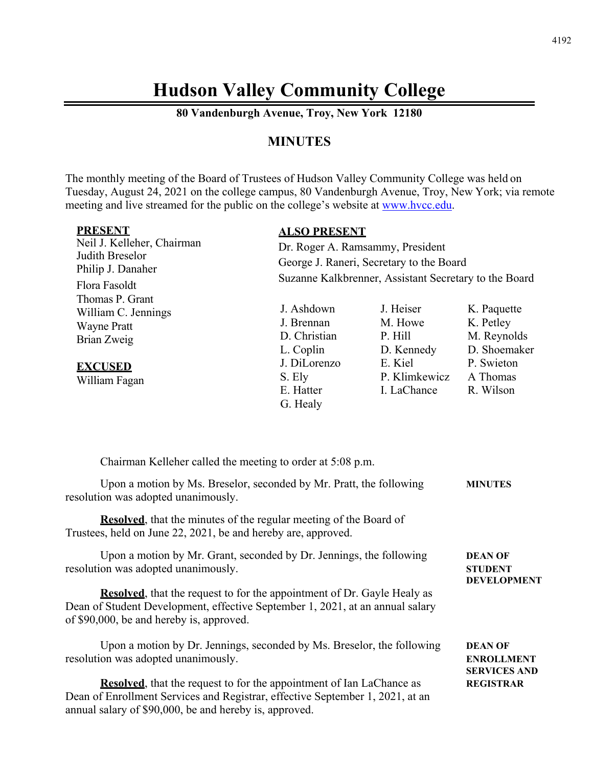# **Hudson Valley Community College**

**80 Vandenburgh Avenue, Troy, New York 12180** 

# **MINUTES**

The monthly meeting of the Board of Trustees of Hudson Valley Community College was held on Tuesday, August 24, 2021 on the college campus, 80 Vandenburgh Avenue, Troy, New York; via remote meeting and live streamed for the public on the college's website at www.hvcc.edu.

| <b>PRESENT</b>             | <b>ALSO PRESENT</b>                                   |               |              |
|----------------------------|-------------------------------------------------------|---------------|--------------|
| Neil J. Kelleher, Chairman | Dr. Roger A. Ramsammy, President                      |               |              |
| Judith Breselor            | George J. Raneri, Secretary to the Board              |               |              |
| Philip J. Danaher          | Suzanne Kalkbrenner, Assistant Secretary to the Board |               |              |
| Flora Fasoldt              |                                                       |               |              |
| Thomas P. Grant            |                                                       |               |              |
| William C. Jennings        | J. Ashdown                                            | J. Heiser     | K. Paquette  |
| <b>Wayne Pratt</b>         | J. Brennan                                            | M. Howe       | K. Petley    |
| Brian Zweig                | D. Christian                                          | P. Hill       | M. Reynolds  |
|                            | L. Coplin                                             | D. Kennedy    | D. Shoemaker |
| <b>EXCUSED</b>             | J. DiLorenzo                                          | E. Kiel       | P. Swieton   |
| William Fagan              | S. Ely                                                | P. Klimkewicz | A Thomas     |
|                            | E. Hatter                                             | I. LaChance   | R. Wilson    |
|                            | G. Healy                                              |               |              |

| Chairman Kelleher called the meeting to order at 5:08 p.m.                                                                                                                                                              |                                                            |
|-------------------------------------------------------------------------------------------------------------------------------------------------------------------------------------------------------------------------|------------------------------------------------------------|
| Upon a motion by Ms. Breselor, seconded by Mr. Pratt, the following<br>resolution was adopted unanimously.                                                                                                              | <b>MINUTES</b>                                             |
| <b>Resolved</b> , that the minutes of the regular meeting of the Board of<br>Trustees, held on June 22, 2021, be and hereby are, approved.                                                                              |                                                            |
| Upon a motion by Mr. Grant, seconded by Dr. Jennings, the following<br>resolution was adopted unanimously.                                                                                                              | <b>DEAN OF</b><br><b>STUDENT</b>                           |
| <b>Resolved</b> , that the request to for the appointment of Dr. Gayle Healy as<br>Dean of Student Development, effective September 1, 2021, at an annual salary<br>of \$90,000, be and hereby is, approved.            | <b>DEVELOPMENT</b>                                         |
| Upon a motion by Dr. Jennings, seconded by Ms. Breselor, the following<br>resolution was adopted unanimously.                                                                                                           | <b>DEAN OF</b><br><b>ENROLLMENT</b><br><b>SERVICES AND</b> |
| <b>Resolved</b> , that the request to for the appointment of Ian LaChance as<br>Dean of Enrollment Services and Registrar, effective September 1, 2021, at an<br>annual salary of \$90,000, be and hereby is, approved. | <b>REGISTRAR</b>                                           |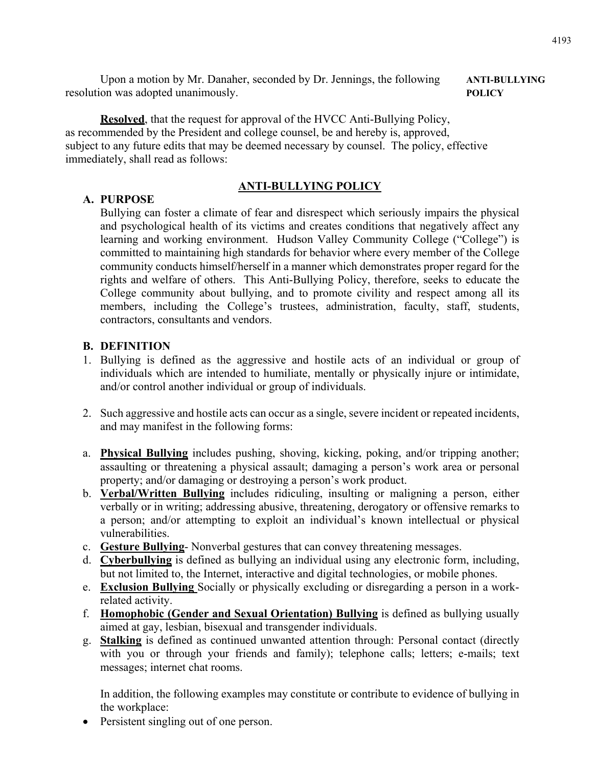Upon a motion by Mr. Danaher, seconded by Dr. Jennings, the following **ANTI-BULLYING** resolution was adopted unanimously. **POLICY** 

**Resolved**, that the request for approval of the HVCC Anti-Bullying Policy, as recommended by the President and college counsel, be and hereby is, approved, subject to any future edits that may be deemed necessary by counsel. The policy, effective immediately, shall read as follows:

#### **ANTI-BULLYING POLICY**

## **A. PURPOSE**

Bullying can foster a climate of fear and disrespect which seriously impairs the physical and psychological health of its victims and creates conditions that negatively affect any learning and working environment. Hudson Valley Community College ("College") is committed to maintaining high standards for behavior where every member of the College community conducts himself/herself in a manner which demonstrates proper regard for the rights and welfare of others. This Anti-Bullying Policy, therefore, seeks to educate the College community about bullying, and to promote civility and respect among all its members, including the College's trustees, administration, faculty, staff, students, contractors, consultants and vendors.

## **B. DEFINITION**

- 1. Bullying is defined as the aggressive and hostile acts of an individual or group of individuals which are intended to humiliate, mentally or physically injure or intimidate, and/or control another individual or group of individuals.
- 2. Such aggressive and hostile acts can occur as a single, severe incident or repeated incidents, and may manifest in the following forms:
- a. **Physical Bullying** includes pushing, shoving, kicking, poking, and/or tripping another; assaulting or threatening a physical assault; damaging a person's work area or personal property; and/or damaging or destroying a person's work product.
- b. **Verbal/Written Bullying** includes ridiculing, insulting or maligning a person, either verbally or in writing; addressing abusive, threatening, derogatory or offensive remarks to a person; and/or attempting to exploit an individual's known intellectual or physical vulnerabilities.
- c. **Gesture Bullying** Nonverbal gestures that can convey threatening messages.
- d. **Cyberbullying** is defined as bullying an individual using any electronic form, including, but not limited to, the Internet, interactive and digital technologies, or mobile phones.
- e. **Exclusion Bullying** Socially or physically excluding or disregarding a person in a workrelated activity.
- f. **Homophobic (Gender and Sexual Orientation) Bullying** is defined as bullying usually aimed at gay, lesbian, bisexual and transgender individuals.
- g. **Stalking** is defined as continued unwanted attention through: Personal contact (directly with you or through your friends and family); telephone calls; letters; e-mails; text messages; internet chat rooms.

In addition, the following examples may constitute or contribute to evidence of bullying in the workplace:

• Persistent singling out of one person.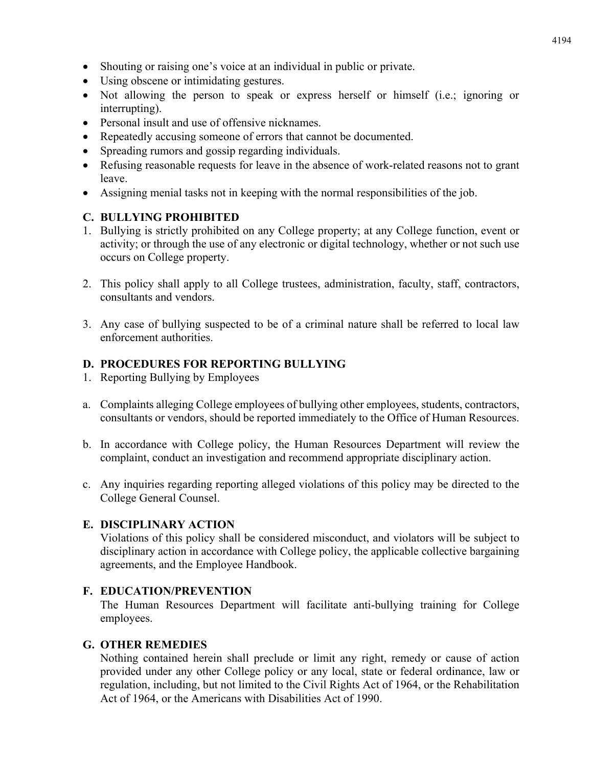- Shouting or raising one's voice at an individual in public or private.
- Using obscene or intimidating gestures.
- Not allowing the person to speak or express herself or himself (i.e.; ignoring or interrupting).
- Personal insult and use of offensive nicknames.
- Repeatedly accusing someone of errors that cannot be documented.
- Spreading rumors and gossip regarding individuals.
- Refusing reasonable requests for leave in the absence of work-related reasons not to grant leave.
- Assigning menial tasks not in keeping with the normal responsibilities of the job.

## **C. BULLYING PROHIBITED**

- 1. Bullying is strictly prohibited on any College property; at any College function, event or activity; or through the use of any electronic or digital technology, whether or not such use occurs on College property.
- 2. This policy shall apply to all College trustees, administration, faculty, staff, contractors, consultants and vendors.
- 3. Any case of bullying suspected to be of a criminal nature shall be referred to local law enforcement authorities.

# **D. PROCEDURES FOR REPORTING BULLYING**

- 1. Reporting Bullying by Employees
- a. Complaints alleging College employees of bullying other employees, students, contractors, consultants or vendors, should be reported immediately to the Office of Human Resources.
- b. In accordance with College policy, the Human Resources Department will review the complaint, conduct an investigation and recommend appropriate disciplinary action.
- c. Any inquiries regarding reporting alleged violations of this policy may be directed to the College General Counsel.

#### **E. DISCIPLINARY ACTION**

Violations of this policy shall be considered misconduct, and violators will be subject to disciplinary action in accordance with College policy, the applicable collective bargaining agreements, and the Employee Handbook.

# **F. EDUCATION/PREVENTION**

The Human Resources Department will facilitate anti-bullying training for College employees.

#### **G. OTHER REMEDIES**

Nothing contained herein shall preclude or limit any right, remedy or cause of action provided under any other College policy or any local, state or federal ordinance, law or regulation, including, but not limited to the Civil Rights Act of 1964, or the Rehabilitation Act of 1964, or the Americans with Disabilities Act of 1990.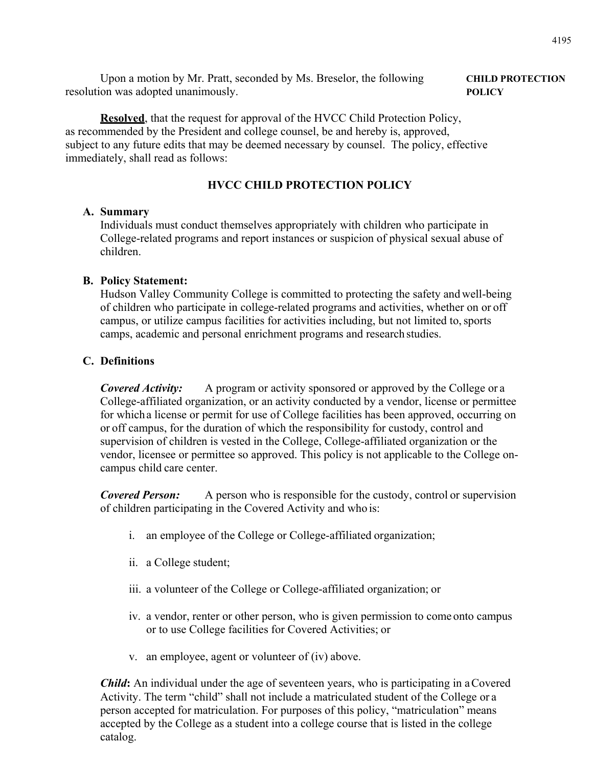Upon a motion by Mr. Pratt, seconded by Ms. Breselor, the following **CHILD PROTECTION**  resolution was adopted unanimously. **POLICY** 

#### **Resolved**, that the request for approval of the HVCC Child Protection Policy, as recommended by the President and college counsel, be and hereby is, approved, subject to any future edits that may be deemed necessary by counsel. The policy, effective immediately, shall read as follows:

#### **HVCC CHILD PROTECTION POLICY**

#### **A. Summary**

Individuals must conduct themselves appropriately with children who participate in College-related programs and report instances or suspicion of physical sexual abuse of children.

#### **B. Policy Statement:**

Hudson Valley Community College is committed to protecting the safety and well-being of children who participate in college-related programs and activities, whether on or off campus, or utilize campus facilities for activities including, but not limited to, sports camps, academic and personal enrichment programs and research studies.

#### **C. Definitions**

*Covered Activity:* A program or activity sponsored or approved by the College or a College-affiliated organization, or an activity conducted by a vendor, license or permittee for which a license or permit for use of College facilities has been approved, occurring on or off campus, for the duration of which the responsibility for custody, control and supervision of children is vested in the College, College-affiliated organization or the vendor, licensee or permittee so approved. This policy is not applicable to the College oncampus child care center.

**Covered Person:** A person who is responsible for the custody, control or supervision of children participating in the Covered Activity and who is:

- i. an employee of the College or College-affiliated organization;
- ii. a College student;
- iii. a volunteer of the College or College-affiliated organization; or
- iv. a vendor, renter or other person, who is given permission to come onto campus or to use College facilities for Covered Activities; or
- v. an employee, agent or volunteer of (iv) above.

*Child***:** An individual under the age of seventeen years, who is participating in a Covered Activity. The term "child" shall not include a matriculated student of the College or a person accepted for matriculation. For purposes of this policy, "matriculation" means accepted by the College as a student into a college course that is listed in the college catalog.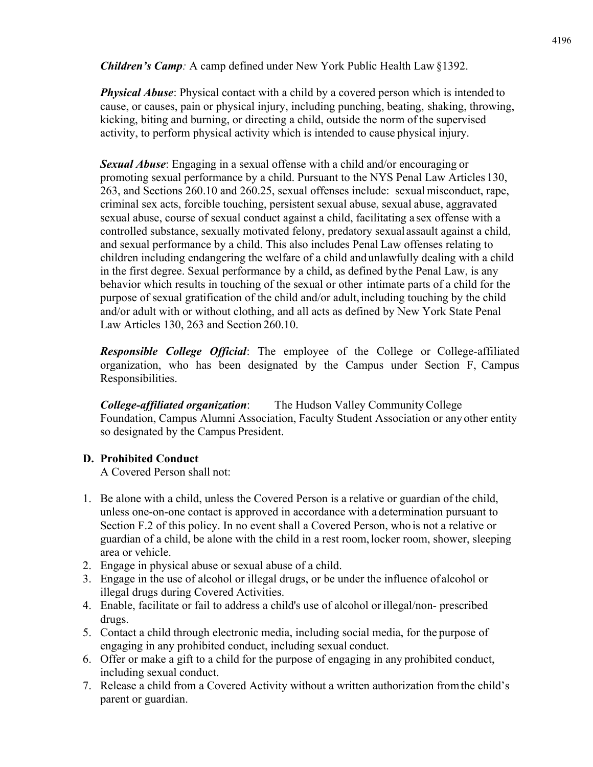*Children's Camp:* A camp defined under New York Public Health Law §1392.

*Physical Abuse*: Physical contact with a child by a covered person which is intended to cause, or causes, pain or physical injury, including punching, beating, shaking, throwing, kicking, biting and burning, or directing a child, outside the norm of the supervised activity, to perform physical activity which is intended to cause physical injury.

*Sexual Abuse*: Engaging in a sexual offense with a child and/or encouraging or promoting sexual performance by a child. Pursuant to the NYS Penal Law Articles 130, 263, and Sections 260.10 and 260.25, sexual offenses include: sexual misconduct, rape, criminal sex acts, forcible touching, persistent sexual abuse, sexual abuse, aggravated sexual abuse, course of sexual conduct against a child, facilitating a sex offense with a controlled substance, sexually motivated felony, predatory sexual assault against a child, and sexual performance by a child. This also includes Penal Law offenses relating to children including endangering the welfare of a child and unlawfully dealing with a child in the first degree. Sexual performance by a child, as defined by the Penal Law, is any behavior which results in touching of the sexual or other intimate parts of a child for the purpose of sexual gratification of the child and/or adult, including touching by the child and/or adult with or without clothing, and all acts as defined by New York State Penal Law Articles 130, 263 and Section 260.10.

*Responsible College Official*: The employee of the College or College-affiliated organization, who has been designated by the Campus under Section F, Campus Responsibilities.

*College-affiliated organization*: The Hudson Valley Community College Foundation, Campus Alumni Association, Faculty Student Association or any other entity so designated by the Campus President.

# **D. Prohibited Conduct**

A Covered Person shall not:

- 1. Be alone with a child, unless the Covered Person is a relative or guardian of the child, unless one-on-one contact is approved in accordance with a determination pursuant to Section F.2 of this policy. In no event shall a Covered Person, who is not a relative or guardian of a child, be alone with the child in a rest room, locker room, shower, sleeping area or vehicle.
- 2. Engage in physical abuse or sexual abuse of a child.
- 3. Engage in the use of alcohol or illegal drugs, or be under the influence of alcohol or illegal drugs during Covered Activities.
- 4. Enable, facilitate or fail to address a child's use of alcohol or illegal/non- prescribed drugs.
- 5. Contact a child through electronic media, including social media, for the purpose of engaging in any prohibited conduct, including sexual conduct.
- 6. Offer or make a gift to a child for the purpose of engaging in any prohibited conduct, including sexual conduct.
- 7. Release a child from a Covered Activity without a written authorization from the child's parent or guardian.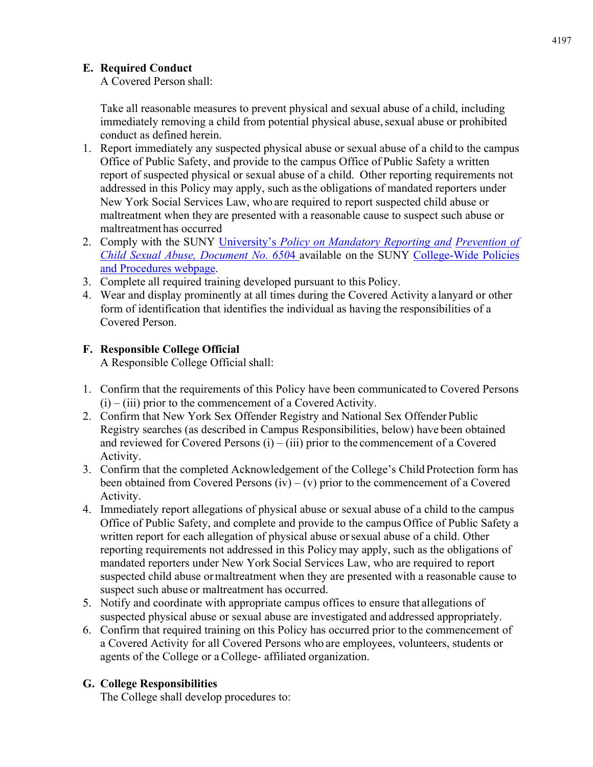# **E. Required Conduct**

A Covered Person shall:

Take all reasonable measures to prevent physical and sexual abuse of a child, including immediately removing a child from potential physical abuse, sexual abuse or prohibited conduct as defined herein.

- 1. Report immediately any suspected physical abuse or sexual abuse of a child to the campus Office of Public Safety, and provide to the campus Office of Public Safety a written report of suspected physical or sexual abuse of a child. Other reporting requirements not addressed in this Policy may apply, such as the obligations of mandated reporters under New York Social Services Law, who are required to report suspected child abuse or maltreatment when they are presented with a reasonable cause to suspect such abuse or maltreatment has occurred
- 2. Comply with the SUNY University's *Policy on Mandatory Reporting and Prevention of Child Sexual Abuse, Document No. 650*4 available on the SUNY College-Wide Policies and Procedures webpage.
- 3. Complete all required training developed pursuant to this Policy.
- 4. Wear and display prominently at all times during the Covered Activity a lanyard or other form of identification that identifies the individual as having the responsibilities of a Covered Person.

# **F. Responsible College Official**

A Responsible College Official shall:

- 1. Confirm that the requirements of this Policy have been communicated to Covered Persons  $(i)$  – (iii) prior to the commencement of a Covered Activity.
- 2. Confirm that New York Sex Offender Registry and National Sex Offender Public Registry searches (as described in Campus Responsibilities, below) have been obtained and reviewed for Covered Persons  $(i) - (iii)$  prior to the commencement of a Covered Activity.
- 3. Confirm that the completed Acknowledgement of the College's Child Protection form has been obtained from Covered Persons  $(iv) - (v)$  prior to the commencement of a Covered Activity.
- 4. Immediately report allegations of physical abuse or sexual abuse of a child to the campus Office of Public Safety, and complete and provide to the campus Office of Public Safety a written report for each allegation of physical abuse or sexual abuse of a child. Other reporting requirements not addressed in this Policy may apply, such as the obligations of mandated reporters under New York Social Services Law, who are required to report suspected child abuse or maltreatment when they are presented with a reasonable cause to suspect such abuse or maltreatment has occurred.
- 5. Notify and coordinate with appropriate campus offices to ensure that allegations of suspected physical abuse or sexual abuse are investigated and addressed appropriately.
- 6. Confirm that required training on this Policy has occurred prior to the commencement of a Covered Activity for all Covered Persons who are employees, volunteers, students or agents of the College or a College- affiliated organization.

# **G. College Responsibilities**

The College shall develop procedures to: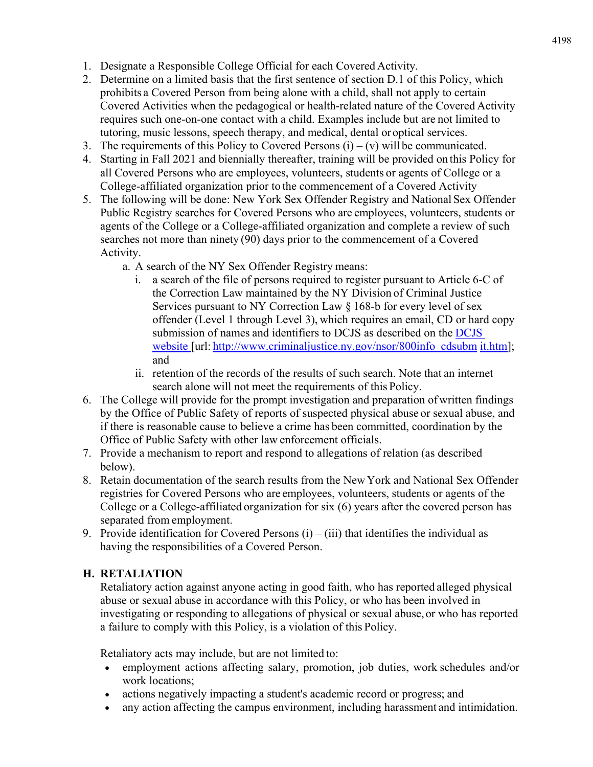- 1. Designate a Responsible College Official for each Covered Activity.
- 2. Determine on a limited basis that the first sentence of section D.1 of this Policy, which prohibits a Covered Person from being alone with a child, shall not apply to certain Covered Activities when the pedagogical or health-related nature of the Covered Activity requires such one-on-one contact with a child. Examples include but are not limited to tutoring, music lessons, speech therapy, and medical, dental or optical services.
- 3. The requirements of this Policy to Covered Persons  $(i) (v)$  will be communicated.
- 4. Starting in Fall 2021 and biennially thereafter, training will be provided on this Policy for all Covered Persons who are employees, volunteers, students or agents of College or a College-affiliated organization prior to the commencement of a Covered Activity
- 5. The following will be done: New York Sex Offender Registry and National Sex Offender Public Registry searches for Covered Persons who are employees, volunteers, students or agents of the College or a College-affiliated organization and complete a review of such searches not more than ninety (90) days prior to the commencement of a Covered Activity.
	- a. A search of the NY Sex Offender Registry means:
		- i. a search of the file of persons required to register pursuant to Article 6-C of the Correction Law maintained by the NY Division of Criminal Justice Services pursuant to NY Correction Law § 168-b for every level of sex offender (Level 1 through Level 3), which requires an email, CD or hard copy submission of names and identifiers to DCJS as described on the DCJS website [url: http://www.criminaljustice.ny.gov/nsor/800info\_cdsubm it.htm]; and
		- ii. retention of the records of the results of such search. Note that an internet search alone will not meet the requirements of this Policy.
- 6. The College will provide for the prompt investigation and preparation of written findings by the Office of Public Safety of reports of suspected physical abuse or sexual abuse, and if there is reasonable cause to believe a crime has been committed, coordination by the Office of Public Safety with other law enforcement officials.
- 7. Provide a mechanism to report and respond to allegations of relation (as described below).
- 8. Retain documentation of the search results from the New York and National Sex Offender registries for Covered Persons who are employees, volunteers, students or agents of the College or a College-affiliated organization for six (6) years after the covered person has separated from employment.
- 9. Provide identification for Covered Persons  $(i) (iii)$  that identifies the individual as having the responsibilities of a Covered Person.

# **H. RETALIATION**

Retaliatory action against anyone acting in good faith, who has reported alleged physical abuse or sexual abuse in accordance with this Policy, or who has been involved in investigating or responding to allegations of physical or sexual abuse, or who has reported a failure to comply with this Policy, is a violation of this Policy.

Retaliatory acts may include, but are not limited to:

- employment actions affecting salary, promotion, job duties, work schedules and/or work locations;
- actions negatively impacting a student's academic record or progress; and
- any action affecting the campus environment, including harassment and intimidation.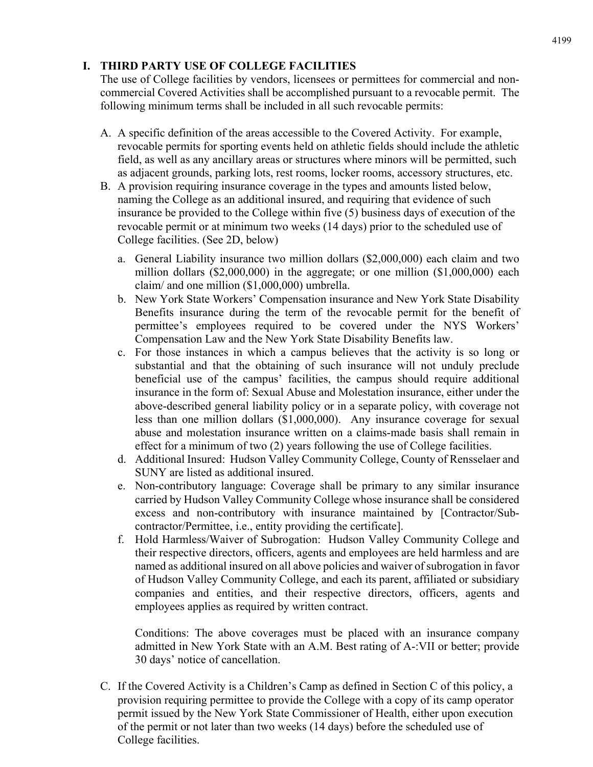# **I. THIRD PARTY USE OF COLLEGE FACILITIES**

The use of College facilities by vendors, licensees or permittees for commercial and noncommercial Covered Activities shall be accomplished pursuant to a revocable permit. The following minimum terms shall be included in all such revocable permits:

- A. A specific definition of the areas accessible to the Covered Activity. For example, revocable permits for sporting events held on athletic fields should include the athletic field, as well as any ancillary areas or structures where minors will be permitted, such as adjacent grounds, parking lots, rest rooms, locker rooms, accessory structures, etc.
- B. A provision requiring insurance coverage in the types and amounts listed below, naming the College as an additional insured, and requiring that evidence of such insurance be provided to the College within five (5) business days of execution of the revocable permit or at minimum two weeks (14 days) prior to the scheduled use of College facilities. (See 2D, below)
	- a. General Liability insurance two million dollars (\$2,000,000) each claim and two million dollars (\$2,000,000) in the aggregate; or one million (\$1,000,000) each claim/ and one million (\$1,000,000) umbrella.
	- b. New York State Workers' Compensation insurance and New York State Disability Benefits insurance during the term of the revocable permit for the benefit of permittee's employees required to be covered under the NYS Workers' Compensation Law and the New York State Disability Benefits law.
	- c. For those instances in which a campus believes that the activity is so long or substantial and that the obtaining of such insurance will not unduly preclude beneficial use of the campus' facilities, the campus should require additional insurance in the form of: Sexual Abuse and Molestation insurance, either under the above-described general liability policy or in a separate policy, with coverage not less than one million dollars (\$1,000,000). Any insurance coverage for sexual abuse and molestation insurance written on a claims-made basis shall remain in effect for a minimum of two (2) years following the use of College facilities.
	- d. Additional Insured: Hudson Valley Community College, County of Rensselaer and SUNY are listed as additional insured.
	- e. Non-contributory language: Coverage shall be primary to any similar insurance carried by Hudson Valley Community College whose insurance shall be considered excess and non-contributory with insurance maintained by [Contractor/Subcontractor/Permittee, i.e., entity providing the certificate].
	- f. Hold Harmless/Waiver of Subrogation: Hudson Valley Community College and their respective directors, officers, agents and employees are held harmless and are named as additional insured on all above policies and waiver of subrogation in favor of Hudson Valley Community College, and each its parent, affiliated or subsidiary companies and entities, and their respective directors, officers, agents and employees applies as required by written contract.

Conditions: The above coverages must be placed with an insurance company admitted in New York State with an A.M. Best rating of A-:VII or better; provide 30 days' notice of cancellation.

C. If the Covered Activity is a Children's Camp as defined in Section C of this policy, a provision requiring permittee to provide the College with a copy of its camp operator permit issued by the New York State Commissioner of Health, either upon execution of the permit or not later than two weeks (14 days) before the scheduled use of College facilities.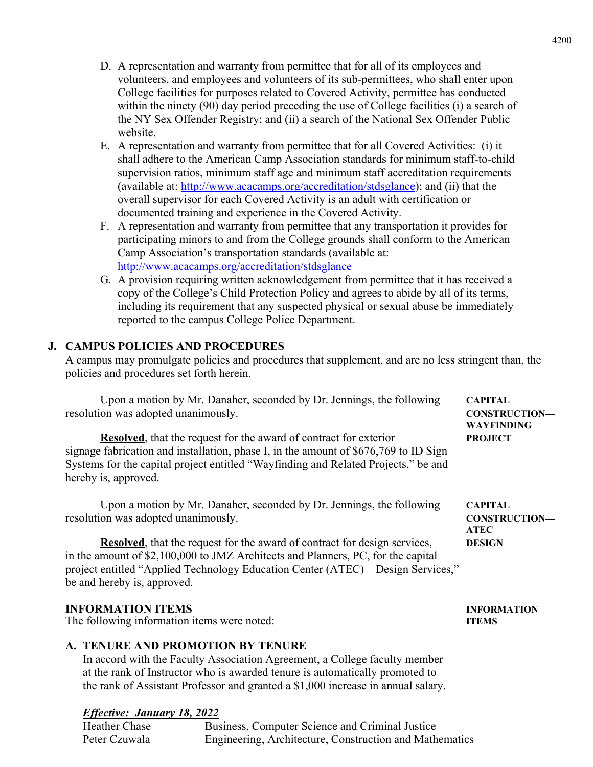- D. A representation and warranty from permittee that for all of its employees and volunteers, and employees and volunteers of its sub-permittees, who shall enter upon College facilities for purposes related to Covered Activity, permittee has conducted within the ninety (90) day period preceding the use of College facilities (i) a search of the NY Sex Offender Registry; and (ii) a search of the National Sex Offender Public website.
- E. A representation and warranty from permittee that for all Covered Activities: (i) it shall adhere to the American Camp Association standards for minimum staff-to-child supervision ratios, minimum staff age and minimum staff accreditation requirements (available at: http://www.acacamps.org/accreditation/stdsglance); and (ii) that the overall supervisor for each Covered Activity is an adult with certification or documented training and experience in the Covered Activity.
- F. A representation and warranty from permittee that any transportation it provides for participating minors to and from the College grounds shall conform to the American Camp Association's transportation standards (available at: http://www.acacamps.org/accreditation/stdsglance
- G. A provision requiring written acknowledgement from permittee that it has received a copy of the College's Child Protection Policy and agrees to abide by all of its terms, including its requirement that any suspected physical or sexual abuse be immediately reported to the campus College Police Department.

# **J. CAMPUS POLICIES AND PROCEDURES**

A campus may promulgate policies and procedures that supplement, and are no less stringent than, the policies and procedures set forth herein.

Upon a motion by Mr. Danaher, seconded by Dr. Jennings, the following **CAPITAL**  resolution was adopted unanimously. **CONSTRUCTION— WAYFINDING Resolved**, that the request for the award of contract for exterior **PROJECT** signage fabrication and installation, phase I, in the amount of \$676,769 to ID Sign Systems for the capital project entitled "Wayfinding and Related Projects," be and hereby is, approved.

Upon a motion by Mr. Danaher, seconded by Dr. Jennings, the following **CAPITAL** resolution was adopted unanimously. **CONSTRUCTION—** 

 **ATEC Resolved**, that the request for the award of contract for design services, **DESIGN** in the amount of \$2,100,000 to JMZ Architects and Planners, PC, for the capital project entitled "Applied Technology Education Center (ATEC) – Design Services," be and hereby is, approved.

#### **INFORMATION ITEMS INFORMATION**

The following information items were noted: **ITEMS** 

## **A. TENURE AND PROMOTION BY TENURE**

In accord with the Faculty Association Agreement, a College faculty member at the rank of Instructor who is awarded tenure is automatically promoted to the rank of Assistant Professor and granted a \$1,000 increase in annual salary.

#### *Effective: January 18, 2022*

Heather Chase Business, Computer Science and Criminal Justice Peter Czuwala Engineering, Architecture, Construction and Mathematics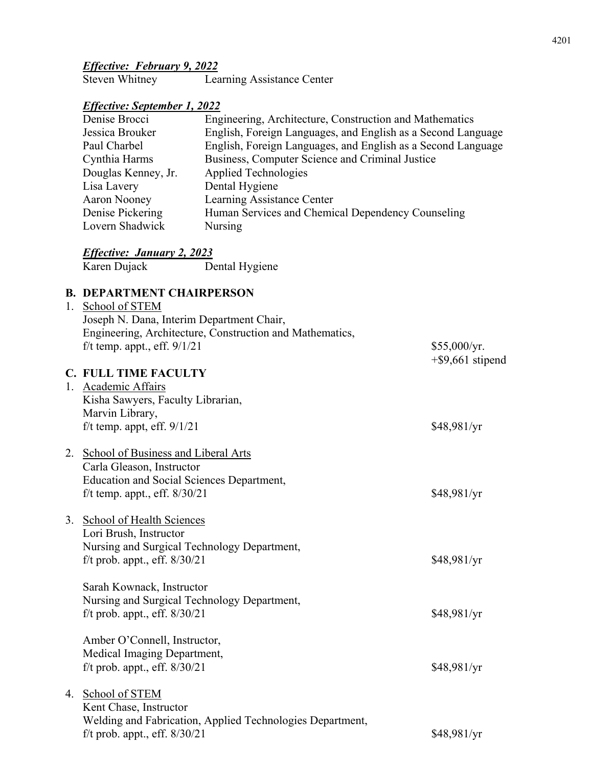# *Effective: February 9, 2022*

| <b>Steven Whitney</b> | Learning Assistance Center |
|-----------------------|----------------------------|
|-----------------------|----------------------------|

# *Effective: September 1, 2022*

| Denise Brocci       | Engineering, Architecture, Construction and Mathematics      |
|---------------------|--------------------------------------------------------------|
| Jessica Brouker     | English, Foreign Languages, and English as a Second Language |
| Paul Charbel        | English, Foreign Languages, and English as a Second Language |
| Cynthia Harms       | Business, Computer Science and Criminal Justice              |
| Douglas Kenney, Jr. | Applied Technologies                                         |
| Lisa Lavery         | Dental Hygiene                                               |
| Aaron Nooney        | Learning Assistance Center                                   |
| Denise Pickering    | Human Services and Chemical Dependency Counseling            |
| Lovern Shadwick     | Nursing                                                      |

# *Effective: January 2, 2023*

| Karen Dujack | Dental Hygiene |
|--------------|----------------|
|              |                |

#### **B. DEPARTMENT CHAIRPERSON**

| Joseph N. Dana, Interim Department Chair,<br>Engineering, Architecture, Construction and Mathematics,<br>f/t temp. appt., eff. $9/1/21$ | \$55,000/yr.<br>$+$ \$9,661 stipend                                                                                                                                                                                                                                                                                                                                                                                                                                                                                                |
|-----------------------------------------------------------------------------------------------------------------------------------------|------------------------------------------------------------------------------------------------------------------------------------------------------------------------------------------------------------------------------------------------------------------------------------------------------------------------------------------------------------------------------------------------------------------------------------------------------------------------------------------------------------------------------------|
|                                                                                                                                         |                                                                                                                                                                                                                                                                                                                                                                                                                                                                                                                                    |
|                                                                                                                                         |                                                                                                                                                                                                                                                                                                                                                                                                                                                                                                                                    |
|                                                                                                                                         |                                                                                                                                                                                                                                                                                                                                                                                                                                                                                                                                    |
|                                                                                                                                         | \$48,981/yr                                                                                                                                                                                                                                                                                                                                                                                                                                                                                                                        |
|                                                                                                                                         |                                                                                                                                                                                                                                                                                                                                                                                                                                                                                                                                    |
|                                                                                                                                         |                                                                                                                                                                                                                                                                                                                                                                                                                                                                                                                                    |
| Carla Gleason, Instructor                                                                                                               |                                                                                                                                                                                                                                                                                                                                                                                                                                                                                                                                    |
| <b>Education and Social Sciences Department,</b>                                                                                        |                                                                                                                                                                                                                                                                                                                                                                                                                                                                                                                                    |
|                                                                                                                                         | \$48,981/yr                                                                                                                                                                                                                                                                                                                                                                                                                                                                                                                        |
|                                                                                                                                         |                                                                                                                                                                                                                                                                                                                                                                                                                                                                                                                                    |
|                                                                                                                                         |                                                                                                                                                                                                                                                                                                                                                                                                                                                                                                                                    |
| Nursing and Surgical Technology Department,                                                                                             |                                                                                                                                                                                                                                                                                                                                                                                                                                                                                                                                    |
| f/t prob. appt., eff. $8/30/21$                                                                                                         | \$48,981/yr                                                                                                                                                                                                                                                                                                                                                                                                                                                                                                                        |
|                                                                                                                                         |                                                                                                                                                                                                                                                                                                                                                                                                                                                                                                                                    |
|                                                                                                                                         |                                                                                                                                                                                                                                                                                                                                                                                                                                                                                                                                    |
|                                                                                                                                         | \$48,981/yr                                                                                                                                                                                                                                                                                                                                                                                                                                                                                                                        |
|                                                                                                                                         |                                                                                                                                                                                                                                                                                                                                                                                                                                                                                                                                    |
| Amber O'Connell, Instructor,                                                                                                            |                                                                                                                                                                                                                                                                                                                                                                                                                                                                                                                                    |
| Medical Imaging Department,                                                                                                             |                                                                                                                                                                                                                                                                                                                                                                                                                                                                                                                                    |
| f/t prob. appt., eff. $8/30/21$                                                                                                         | \$48,981/yr                                                                                                                                                                                                                                                                                                                                                                                                                                                                                                                        |
|                                                                                                                                         |                                                                                                                                                                                                                                                                                                                                                                                                                                                                                                                                    |
|                                                                                                                                         |                                                                                                                                                                                                                                                                                                                                                                                                                                                                                                                                    |
|                                                                                                                                         |                                                                                                                                                                                                                                                                                                                                                                                                                                                                                                                                    |
| f/t prob. appt., eff. $8/30/21$                                                                                                         | \$48,981/yr                                                                                                                                                                                                                                                                                                                                                                                                                                                                                                                        |
|                                                                                                                                         | 1. School of STEM<br><b>C. FULL TIME FACULTY</b><br>1. Academic Affairs<br>Kisha Sawyers, Faculty Librarian,<br>Marvin Library,<br>f/t temp. appt, eff. $9/1/21$<br>2. School of Business and Liberal Arts<br>f/t temp. appt., eff. $8/30/21$<br>3. School of Health Sciences<br>Lori Brush, Instructor<br>Sarah Kownack, Instructor<br>Nursing and Surgical Technology Department,<br>f/t prob. appt., eff. $8/30/21$<br>4. School of STEM<br>Kent Chase, Instructor<br>Welding and Fabrication, Applied Technologies Department, |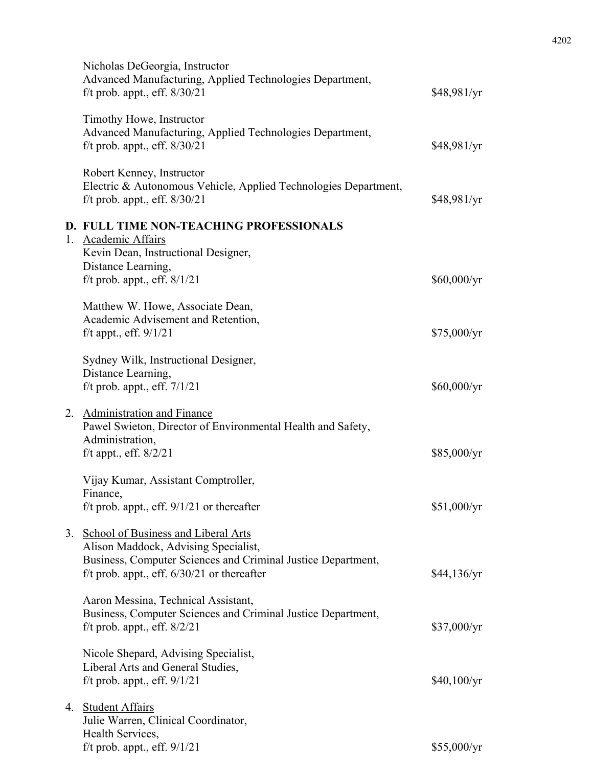| Nicholas DeGeorgia, Instructor<br>Advanced Manufacturing, Applied Technologies Department,<br>f/t prob. appt., eff. $8/30/21$         | \$48,981/yr |
|---------------------------------------------------------------------------------------------------------------------------------------|-------------|
| Timothy Howe, Instructor<br>Advanced Manufacturing, Applied Technologies Department,<br>f/t prob. appt., eff. $8/30/21$               | \$48,981/yr |
| Robert Kenney, Instructor<br>Electric & Autonomous Vehicle, Applied Technologies Department,<br>f/t prob. appt., eff. $8/30/21$       | \$48,981/yr |
| D. FULL TIME NON-TEACHING PROFESSIONALS<br>1. Academic Affairs<br>Kevin Dean, Instructional Designer,<br>Distance Learning,           |             |
| f/t prob. appt., eff. $8/1/21$                                                                                                        | \$60,000/yr |
| Matthew W. Howe, Associate Dean,<br>Academic Advisement and Retention,<br>f/t appt., eff. $9/1/21$                                    | \$75,000/yr |
| Sydney Wilk, Instructional Designer,                                                                                                  |             |
| Distance Learning,<br>f/t prob. appt., eff. $7/1/21$                                                                                  | \$60,000/yr |
| 2. Administration and Finance<br>Pawel Swieton, Director of Environmental Health and Safety,<br>Administration,                       |             |
| f/t appt., eff. $8/2/21$                                                                                                              | \$85,000/yr |
| Vijay Kumar, Assistant Comptroller,<br>Finance,<br>f/t prob. appt., eff. $9/1/21$ or thereafter                                       | \$51,000/yr |
| 3. School of Business and Liberal Arts<br>Alison Maddock, Advising Specialist,                                                        |             |
| Business, Computer Sciences and Criminal Justice Department,<br>f/t prob. appt., eff. $6/30/21$ or thereafter                         | \$44,136/yr |
| Aaron Messina, Technical Assistant,<br>Business, Computer Sciences and Criminal Justice Department,<br>f/t prob. appt., eff. $8/2/21$ | \$37,000/yr |
| Nicole Shepard, Advising Specialist,                                                                                                  |             |
| Liberal Arts and General Studies,<br>f/t prob. appt., eff. $9/1/21$                                                                   | \$40,100/yr |
| 4. Student Affairs<br>Julie Warren, Clinical Coordinator,<br>Health Services,                                                         |             |
| f/t prob. appt., eff. $9/1/21$                                                                                                        | \$55,000/yr |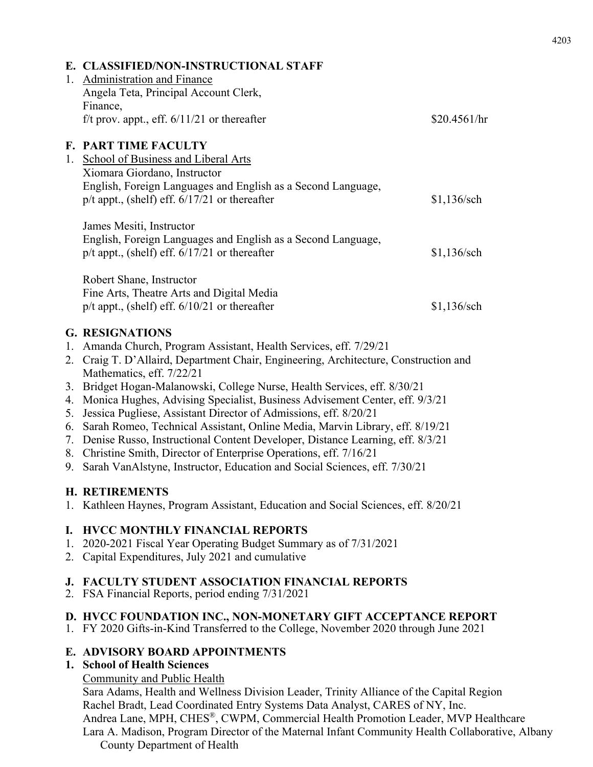|             | E. CLASSIFIED/NON-INSTRUCTIONAL STAFF                                                                             |               |
|-------------|-------------------------------------------------------------------------------------------------------------------|---------------|
| $1_{\cdot}$ | <b>Administration and Finance</b>                                                                                 |               |
|             | Angela Teta, Principal Account Clerk,                                                                             |               |
|             | Finance,                                                                                                          |               |
|             | f/t prov. appt., eff. $6/11/21$ or thereafter                                                                     | \$20.4561/hr  |
|             | <b>F. PART TIME FACULTY</b>                                                                                       |               |
|             | 1. School of Business and Liberal Arts                                                                            |               |
|             | Xiomara Giordano, Instructor                                                                                      |               |
|             | English, Foreign Languages and English as a Second Language,<br>$p/t$ appt., (shelf) eff. $6/17/21$ or thereafter | \$1,136/sch   |
|             | James Mesiti, Instructor                                                                                          |               |
|             | English, Foreign Languages and English as a Second Language,                                                      |               |
|             | $p/t$ appt., (shelf) eff. $6/17/21$ or thereafter                                                                 | $$1,136$ /sch |
|             |                                                                                                                   |               |
|             | Robert Shane, Instructor                                                                                          |               |
|             | Fine Arts, Theatre Arts and Digital Media                                                                         |               |
|             | $p/t$ appt., (shelf) eff. $6/10/21$ or thereafter                                                                 | $$1,136$ /sch |
|             | <b>G. RESIGNATIONS</b>                                                                                            |               |
| 1.          | Amanda Church, Program Assistant, Health Services, eff. 7/29/21                                                   |               |
| 2.          | Craig T. D'Allaird, Department Chair, Engineering, Architecture, Construction and                                 |               |
|             | Mathematics, eff. 7/22/21                                                                                         |               |

- 3. Bridget Hogan-Malanowski, College Nurse, Health Services, eff. 8/30/21
- 4. Monica Hughes, Advising Specialist, Business Advisement Center, eff. 9/3/21
- 5. Jessica Pugliese, Assistant Director of Admissions, eff. 8/20/21
- 6. Sarah Romeo, Technical Assistant, Online Media, Marvin Library, eff. 8/19/21
- 7. Denise Russo, Instructional Content Developer, Distance Learning, eff. 8/3/21
- 8. Christine Smith, Director of Enterprise Operations, eff. 7/16/21
- 9. Sarah VanAlstyne, Instructor, Education and Social Sciences, eff. 7/30/21

# **H. RETIREMENTS**

1. Kathleen Haynes, Program Assistant, Education and Social Sciences, eff. 8/20/21

# **I. HVCC MONTHLY FINANCIAL REPORTS**

- 1. 2020-2021 Fiscal Year Operating Budget Summary as of 7/31/2021
- 2. Capital Expenditures, July 2021 and cumulative

# **J. FACULTY STUDENT ASSOCIATION FINANCIAL REPORTS**

2. FSA Financial Reports, period ending 7/31/2021

# **D. HVCC FOUNDATION INC., NON-MONETARY GIFT ACCEPTANCE REPORT**

1. FY 2020 Gifts-in-Kind Transferred to the College, November 2020 through June 2021

# **E. ADVISORY BOARD APPOINTMENTS**

# **1. School of Health Sciences**

Community and Public Health

Sara Adams, Health and Wellness Division Leader, Trinity Alliance of the Capital Region Rachel Bradt, Lead Coordinated Entry Systems Data Analyst, CARES of NY, Inc. Andrea Lane, MPH, CHES®, CWPM, Commercial Health Promotion Leader, MVP Healthcare Lara A. Madison, Program Director of the Maternal Infant Community Health Collaborative, Albany County Department of Health